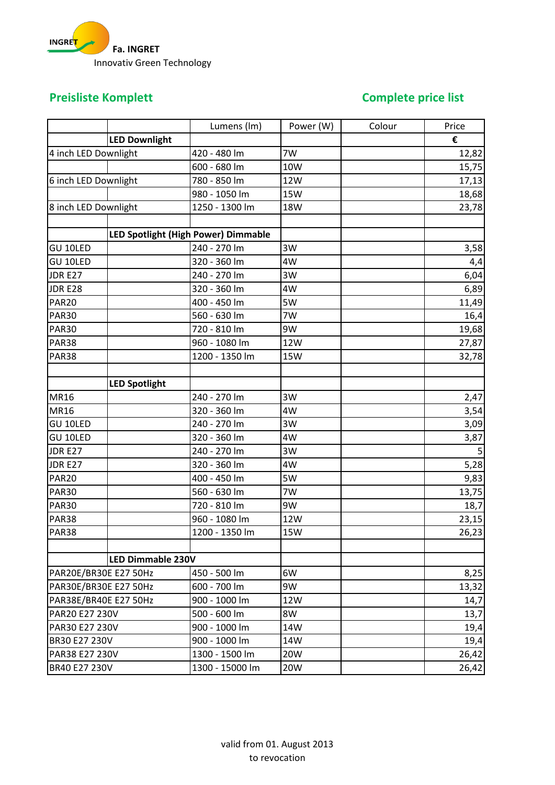

## **Preisliste Komplett Complete price list**

|                              |                      | Lumens (Im)                         | Power (W)  | Colour | Price |
|------------------------------|----------------------|-------------------------------------|------------|--------|-------|
|                              | <b>LED Downlight</b> |                                     |            |        | €     |
| 4 inch LED Downlight         |                      | 420 - 480 lm                        | 7W         |        | 12,82 |
|                              |                      | 600 - 680 lm                        | 10W        |        | 15,75 |
| 6 inch LED Downlight         |                      | 780 - 850 lm                        | 12W        |        | 17,13 |
|                              |                      | 980 - 1050 lm                       | <b>15W</b> |        | 18,68 |
| 8 inch LED Downlight         |                      | 1250 - 1300 lm                      | <b>18W</b> |        | 23,78 |
|                              |                      |                                     |            |        |       |
|                              |                      | LED Spotlight (High Power) Dimmable |            |        |       |
| GU 10LED                     |                      | 240 - 270 lm                        | 3W         |        | 3,58  |
| GU 10LED                     |                      | 320 - 360 lm                        | 4W         |        | 4,4   |
| <b>JDR E27</b>               |                      | 240 - 270 lm                        | 3W         |        | 6,04  |
| JDR E28                      |                      | 320 - 360 lm                        | 4W         |        | 6,89  |
| PAR <sub>20</sub>            |                      | 400 - 450 lm                        | 5W         |        | 11,49 |
| <b>PAR30</b>                 |                      | 560 - 630 lm                        | 7W         |        | 16,4  |
| <b>PAR30</b>                 |                      | 720 - 810 lm                        | 9W         |        | 19,68 |
| PAR38                        |                      | 960 - 1080 lm                       | 12W        |        | 27,87 |
| PAR38                        |                      | 1200 - 1350 lm                      | <b>15W</b> |        | 32,78 |
|                              |                      |                                     |            |        |       |
|                              | <b>LED Spotlight</b> |                                     |            |        |       |
| <b>MR16</b>                  |                      | 240 - 270 lm                        | 3W         |        | 2,47  |
| <b>MR16</b>                  |                      | 320 - 360 lm                        | 4W         |        | 3,54  |
| GU 10LED                     |                      | 240 - 270 lm                        | 3W         |        | 3,09  |
| GU 10LED                     |                      | 320 - 360 lm                        | 4W         |        | 3,87  |
| JDR E27                      |                      | 240 - 270 lm                        | 3W         |        | 5     |
| <b>JDR E27</b>               |                      | 320 - 360 lm                        | 4W         |        | 5,28  |
| <b>PAR20</b>                 |                      | 400 - 450 lm                        | 5W         |        | 9,83  |
| <b>PAR30</b>                 |                      | 560 - 630 lm                        | 7W         |        | 13,75 |
| <b>PAR30</b>                 |                      | 720 - 810 lm                        | 9W         |        | 18,7  |
| PAR38                        |                      | 960 - 1080 lm                       | 12W        |        | 23,15 |
| PAR38                        |                      | 1200 - 1350 lm                      | <b>15W</b> |        | 26,23 |
|                              |                      |                                     |            |        |       |
|                              | LED Dimmable 230V    |                                     |            |        |       |
| <b>PAR20E/BR30E E27 50Hz</b> |                      | 450 - 500 lm                        | 6W         |        | 8,25  |
| PAR30E/BR30E E27 50Hz        |                      | 600 - 700 lm                        | 9W         |        | 13,32 |
| PAR38E/BR40E E27 50Hz        |                      | 900 - 1000 lm                       | 12W        |        | 14,7  |
| PAR20 E27 230V               |                      | 500 - 600 lm                        | 8W         |        | 13,7  |
| PAR30 E27 230V               |                      | 900 - 1000 lm                       | 14W        |        | 19,4  |
| BR30 E27 230V                |                      | 900 - 1000 lm                       | 14W        |        | 19,4  |
| PAR38 E27 230V               |                      | 1300 - 1500 lm                      | 20W        |        | 26,42 |
| BR40 E27 230V                |                      | 1300 - 15000 lm                     | 20W        |        | 26,42 |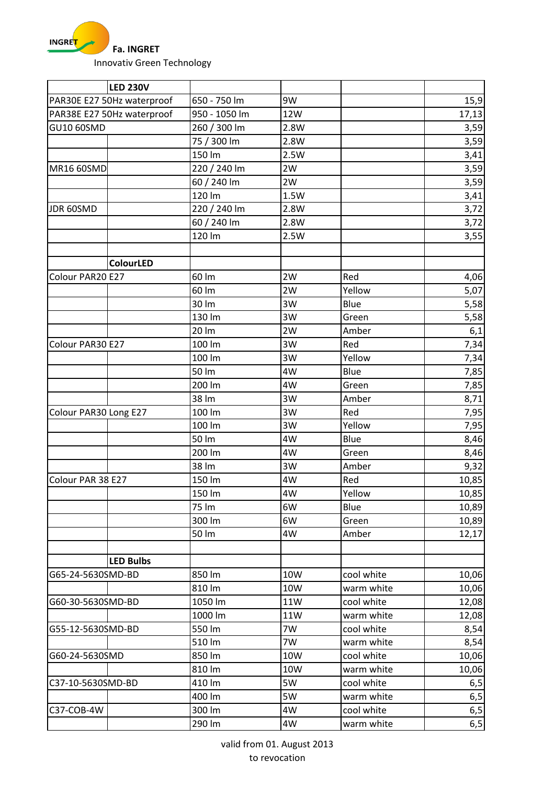

|                            | <b>LED 230V</b>  |               |            |            |       |
|----------------------------|------------------|---------------|------------|------------|-------|
| PAR30E E27 50Hz waterproof |                  | 650 - 750 lm  | 9W         |            | 15,9  |
| PAR38E E27 50Hz waterproof |                  | 950 - 1050 lm | 12W        |            | 17,13 |
| GU10 60SMD                 |                  | 260 / 300 lm  | 2.8W       |            | 3,59  |
|                            |                  | 75 / 300 lm   | 2.8W       |            | 3,59  |
|                            |                  | 150 lm        | 2.5W       |            | 3,41  |
| MR16 60SMD                 |                  | 220 / 240 lm  | 2W         |            | 3,59  |
|                            |                  | 60 / 240 lm   | 2W         |            | 3,59  |
|                            |                  | 120 lm        | 1.5W       |            | 3,41  |
| JDR 60SMD                  |                  | 220 / 240 lm  | 2.8W       |            | 3,72  |
|                            |                  | 60 / 240 lm   | 2.8W       |            | 3,72  |
|                            |                  | 120 lm        | 2.5W       |            | 3,55  |
|                            |                  |               |            |            |       |
|                            | <b>ColourLED</b> |               |            |            |       |
| Colour PAR20 E27           |                  | 60 lm         | 2W         | Red        | 4,06  |
|                            |                  | 60 lm         | 2W         | Yellow     | 5,07  |
|                            |                  | 30 lm         | 3W         | Blue       | 5,58  |
|                            |                  | 130 lm        | 3W         | Green      | 5,58  |
|                            |                  | 20 lm         | 2W         | Amber      | 6,1   |
| Colour PAR30 E27           |                  | 100 lm        | 3W         | Red        | 7,34  |
|                            |                  | 100 lm        | 3W         | Yellow     | 7,34  |
|                            |                  | 50 lm         | 4W         | Blue       | 7,85  |
|                            |                  | 200 lm        | 4W         | Green      | 7,85  |
|                            |                  | 38 lm         | 3W         | Amber      | 8,71  |
| Colour PAR30 Long E27      |                  | 100 lm        | 3W         | Red        | 7,95  |
|                            |                  | 100 lm        | 3W         | Yellow     | 7,95  |
|                            |                  | 50 lm         | 4W         | Blue       | 8,46  |
|                            |                  | 200 lm        | 4W         | Green      | 8,46  |
|                            |                  | 38 lm         | 3W         | Amber      | 9,32  |
| Colour PAR 38 E27          |                  | 150 lm        | 4W         | Red        | 10,85 |
|                            |                  | 150 lm        | 4W         | Yellow     | 10,85 |
|                            |                  | 75 lm         | 6W         | Blue       | 10,89 |
|                            |                  | 300 lm        | 6W         | Green      | 10,89 |
|                            |                  | 50 lm         | 4W         | Amber      | 12,17 |
|                            |                  |               |            |            |       |
|                            | <b>LED Bulbs</b> |               |            |            |       |
| G65-24-5630SMD-BD          |                  | 850 lm        | 10W        | cool white | 10,06 |
|                            |                  | 810 lm        | 10W        | warm white | 10,06 |
| G60-30-5630SMD-BD          |                  | 1050 lm       | 11W        | cool white | 12,08 |
|                            |                  | 1000 lm       | <b>11W</b> | warm white | 12,08 |
| G55-12-5630SMD-BD          |                  | 550 lm        | 7W         | cool white | 8,54  |
|                            |                  | 510 lm        | 7W         | warm white | 8,54  |
| G60-24-5630SMD             |                  | 850 lm        | 10W        | cool white | 10,06 |
|                            |                  | 810 lm        | 10W        | warm white | 10,06 |
| C37-10-5630SMD-BD          |                  | 410 lm        | 5W         | cool white | 6,5   |
|                            |                  | 400 lm        | 5W         | warm white | 6, 5  |
| C37-COB-4W                 |                  | 300 lm        | 4W         | cool white | 6,5   |
|                            |                  | 290 lm        | 4W         | warm white | 6, 5  |

valid from 01. August 2013 to revocation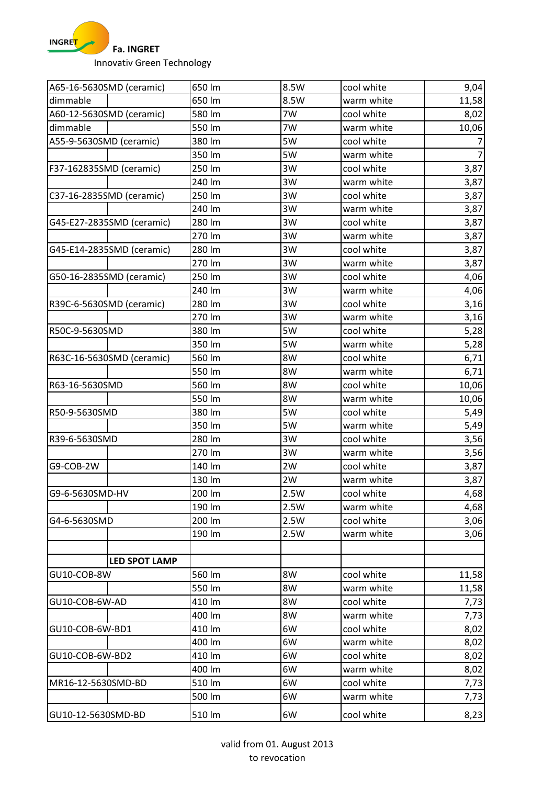

| A65-16-5630SMD (ceramic)  | 650 lm | 8.5W | cool white | 9,04  |
|---------------------------|--------|------|------------|-------|
| dimmable                  | 650 lm | 8.5W | warm white | 11,58 |
| A60-12-5630SMD (ceramic)  | 580 lm | 7W   | cool white | 8,02  |
| dimmable                  | 550 lm | 7W   | warm white | 10,06 |
| A55-9-5630SMD (ceramic)   | 380 lm | 5W   | cool white |       |
|                           | 350 lm | 5W   | warm white |       |
| F37-162835SMD (ceramic)   | 250 lm | 3W   | cool white | 3,87  |
|                           | 240 lm | 3W   | warm white | 3,87  |
| C37-16-2835SMD (ceramic)  | 250 lm | 3W   | cool white | 3,87  |
|                           | 240 lm | 3W   | warm white | 3,87  |
| G45-E27-2835SMD (ceramic) | 280 lm | 3W   | cool white | 3,87  |
|                           | 270 lm | 3W   | warm white | 3,87  |
| G45-E14-2835SMD (ceramic) | 280 lm | 3W   | cool white | 3,87  |
|                           | 270 lm | 3W   | warm white | 3,87  |
| G50-16-2835SMD (ceramic)  | 250 lm | 3W   | cool white | 4,06  |
|                           | 240 lm | 3W   | warm white | 4,06  |
| R39C-6-5630SMD (ceramic)  | 280 lm | 3W   | cool white | 3,16  |
|                           | 270 lm | 3W   | warm white | 3,16  |
| R50C-9-5630SMD            | 380 lm | 5W   | cool white | 5,28  |
|                           | 350 lm | 5W   | warm white | 5,28  |
| R63C-16-5630SMD (ceramic) | 560 lm | 8W   | cool white | 6,71  |
|                           | 550 lm | 8W   | warm white | 6,71  |
| R63-16-5630SMD            | 560 lm | 8W   | cool white | 10,06 |
|                           | 550 lm | 8W   | warm white | 10,06 |
| R50-9-5630SMD             | 380 lm | 5W   | cool white | 5,49  |
|                           | 350 lm | 5W   | warm white | 5,49  |
| R39-6-5630SMD             | 280 lm | 3W   | cool white | 3,56  |
|                           | 270 lm | 3W   | warm white | 3,56  |
| G9-COB-2W                 | 140 lm | 2W   | cool white | 3,87  |
|                           | 130 lm | 2W   | warm white | 3,87  |
| G9-6-5630SMD-HV           | 200 lm | 2.5W | cool white | 4,68  |
|                           | 190 lm | 2.5W | warm white | 4,68  |
| G4-6-5630SMD              | 200 lm | 2.5W | cool white | 3,06  |
|                           | 190 lm | 2.5W | warm white | 3,06  |
|                           |        |      |            |       |
| <b>LED SPOT LAMP</b>      |        |      |            |       |
| GU10-COB-8W               | 560 lm | 8W   | cool white | 11,58 |
|                           | 550 lm | 8W   | warm white | 11,58 |
| GU10-COB-6W-AD            | 410 lm | 8W   | cool white | 7,73  |
|                           | 400 lm | 8W   | warm white | 7,73  |
| GU10-COB-6W-BD1           | 410 lm | 6W   | cool white | 8,02  |
|                           | 400 lm | 6W   | warm white | 8,02  |
| GU10-COB-6W-BD2           | 410 lm | 6W   | cool white | 8,02  |
|                           | 400 lm | 6W   | warm white | 8,02  |
| MR16-12-5630SMD-BD        | 510 lm | 6W   | cool white | 7,73  |
|                           | 500 lm | 6W   | warm white | 7,73  |
| GU10-12-5630SMD-BD        | 510 lm | 6W   | cool white | 8,23  |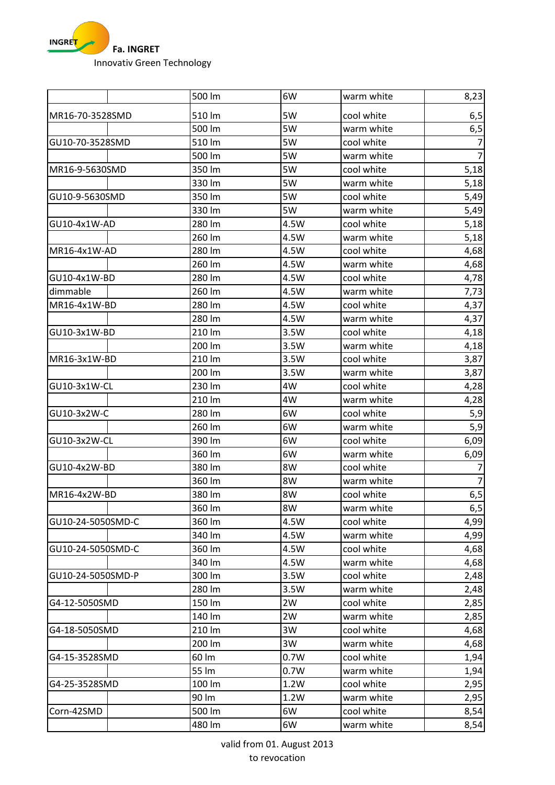

|                   | 500 lm          | 6W           | warm white               | 8,23           |
|-------------------|-----------------|--------------|--------------------------|----------------|
| MR16-70-3528SMD   | 510 lm          | 5W           | cool white               | 6, 5           |
|                   | 500 lm          | 5W           | warm white               | 6,5            |
| GU10-70-3528SMD   | 510 lm          | 5W           | cool white               | $\overline{7}$ |
|                   | 500 lm          | 5W           | warm white               | $\overline{7}$ |
| MR16-9-5630SMD    | 350 lm          | 5W           | cool white               | 5,18           |
|                   | 330 lm          | 5W           | warm white               | 5,18           |
| GU10-9-5630SMD    | 350 lm          | 5W           | cool white               | 5,49           |
|                   | 330 lm          | 5W           | warm white               | 5,49           |
| GU10-4x1W-AD      | 280 lm          | 4.5W         | cool white               | 5,18           |
|                   | 260 lm          | 4.5W         | warm white               | 5,18           |
| MR16-4x1W-AD      | 280 lm          | 4.5W         | cool white               | 4,68           |
|                   | 260 lm          | 4.5W         | warm white               | 4,68           |
| GU10-4x1W-BD      | 280 lm          | 4.5W         | cool white               | 4,78           |
| dimmable          | 260 lm          | 4.5W         | warm white               | 7,73           |
| MR16-4x1W-BD      | 280 lm          | 4.5W         | cool white               | 4,37           |
|                   | 280 lm          | 4.5W         | warm white               | 4,37           |
| GU10-3x1W-BD      | 210 lm          | 3.5W         | cool white               | 4,18           |
|                   | 200 lm          | 3.5W         | warm white               | 4,18           |
| MR16-3x1W-BD      | 210 lm          | 3.5W         | cool white               | 3,87           |
|                   | 200 lm          | 3.5W         | warm white               | 3,87           |
| GU10-3x1W-CL      | 230 lm          | 4W           | cool white               | 4,28           |
|                   | 210 lm          | 4W           | warm white               | 4,28           |
| GU10-3x2W-C       | 280 lm          | 6W           | cool white               | 5,9            |
|                   | 260 lm          | 6W           | warm white               | 5,9            |
| GU10-3x2W-CL      | 390 lm          | 6W           | cool white               | 6,09           |
|                   | 360 lm          | 6W           | warm white               | 6,09           |
| GU10-4x2W-BD      | 380 lm          | 8W           | cool white               |                |
|                   | 360 lm          | 8W           | warm white               | $\overline{7}$ |
| MR16-4x2W-BD      | 380 lm          | 8W           | cool white               | 6,5            |
|                   | 360 lm          | 8W           | warm white               | 6,5            |
| GU10-24-5050SMD-C | 360 lm          | 4.5W         | cool white               | 4,99           |
|                   | 340 lm          | 4.5W         | warm white               | 4,99           |
| GU10-24-5050SMD-C | 360 lm          | 4.5W         | cool white               | 4,68           |
|                   | 340 lm          | 4.5W         | warm white               | 4,68           |
| GU10-24-5050SMD-P | 300 lm          | 3.5W         | cool white               | 2,48           |
|                   | 280 lm          | 3.5W         | warm white               | 2,48           |
| G4-12-5050SMD     | 150 lm          | 2W           | cool white               | 2,85           |
|                   | 140 lm          | 2W           | warm white               | 2,85           |
| G4-18-5050SMD     | 210 lm          | 3W           | cool white               | 4,68           |
|                   | 200 lm          | 3W           | warm white               | 4,68           |
| G4-15-3528SMD     | 60 lm           | 0.7W         | cool white               | 1,94           |
|                   | 55 lm           | 0.7W         | warm white               | 1,94           |
| G4-25-3528SMD     | 100 lm<br>90 lm | 1.2W<br>1.2W | cool white               | 2,95           |
|                   | 500 lm          | 6W           | warm white<br>cool white | 2,95           |
| Corn-42SMD        |                 |              |                          | 8,54           |
|                   | 480 lm          | 6W           | warm white               | 8,54           |

valid from 01. August 2013 to revocation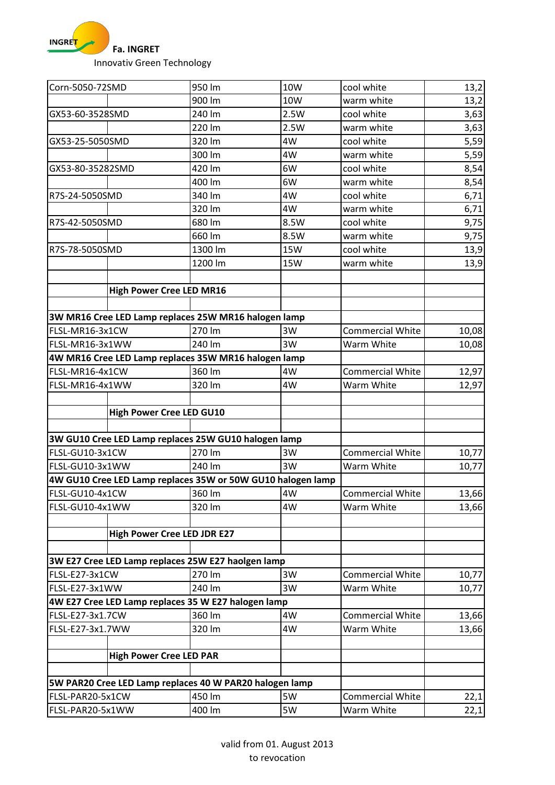**INGRE<mark>T</mark>** × **Fa. INGRET** 

Innovativ Green Technology

| Corn-5050-72SMD  |                                | 950 lm                                                      | <b>10W</b> | cool white              | 13,2  |
|------------------|--------------------------------|-------------------------------------------------------------|------------|-------------------------|-------|
|                  |                                | 900 lm                                                      | 10W        | warm white              | 13,2  |
| GX53-60-3528SMD  |                                | 240 lm                                                      | 2.5W       | cool white              | 3,63  |
|                  |                                | 220 lm                                                      | 2.5W       | warm white              | 3,63  |
| GX53-25-5050SMD  |                                | 320 lm                                                      | 4W         | cool white              | 5,59  |
|                  |                                | 300 lm                                                      | 4W         | warm white              | 5,59  |
| GX53-80-35282SMD |                                | 420 lm                                                      | 6W         | cool white              | 8,54  |
|                  |                                | 400 lm                                                      | 6W         | warm white              | 8,54  |
| R7S-24-5050SMD   |                                | 340 lm                                                      | 4W         | cool white              | 6,71  |
|                  |                                | 320 lm                                                      | 4W         | warm white              | 6,71  |
| R7S-42-5050SMD   |                                | 680 lm                                                      | 8.5W       | cool white              | 9,75  |
|                  |                                | 660 lm                                                      | 8.5W       | warm white              | 9,75  |
| R7S-78-5050SMD   |                                | 1300 lm                                                     | <b>15W</b> | cool white              | 13,9  |
|                  |                                | 1200 lm                                                     | <b>15W</b> | warm white              | 13,9  |
|                  |                                |                                                             |            |                         |       |
|                  |                                | <b>High Power Cree LED MR16</b>                             |            |                         |       |
|                  |                                |                                                             |            |                         |       |
|                  |                                | 3W MR16 Cree LED Lamp replaces 25W MR16 halogen lamp        |            |                         |       |
| FLSL-MR16-3x1CW  |                                | 270 lm                                                      | 3W         | <b>Commercial White</b> | 10,08 |
| FLSL-MR16-3x1WW  |                                | 240 lm                                                      | 3W         | Warm White              | 10,08 |
|                  |                                | 4W MR16 Cree LED Lamp replaces 35W MR16 halogen lamp        |            |                         |       |
| FLSL-MR16-4x1CW  |                                | 360 lm                                                      | 4W         | <b>Commercial White</b> | 12,97 |
| FLSL-MR16-4x1WW  |                                | 320 lm                                                      | 4W         | Warm White              | 12,97 |
|                  |                                |                                                             |            |                         |       |
|                  |                                | <b>High Power Cree LED GU10</b>                             |            |                         |       |
|                  |                                |                                                             |            |                         |       |
|                  |                                | 3W GU10 Cree LED Lamp replaces 25W GU10 halogen lamp        |            |                         |       |
| FLSL-GU10-3x1CW  |                                | 270 lm                                                      | 3W         | <b>Commercial White</b> | 10,77 |
| FLSL-GU10-3x1WW  |                                | 240 lm                                                      | 3W         | Warm White              | 10,77 |
|                  |                                | 4W GU10 Cree LED Lamp replaces 35W or 50W GU10 halogen lamp |            |                         |       |
| FLSL-GU10-4x1CW  |                                | 360 lm                                                      | 4W         | <b>Commercial White</b> | 13,66 |
| FLSL-GU10-4x1WW  |                                | 320 lm                                                      | 4W         | Warm White              | 13,66 |
|                  |                                |                                                             |            |                         |       |
|                  |                                | <b>High Power Cree LED JDR E27</b>                          |            |                         |       |
|                  |                                |                                                             |            |                         |       |
|                  |                                | 3W E27 Cree LED Lamp replaces 25W E27 haolgen lamp          |            |                         |       |
| FLSL-E27-3x1CW   |                                | 270 lm                                                      | 3W         | <b>Commercial White</b> | 10,77 |
| FLSL-E27-3x1WW   |                                | 240 lm                                                      | 3W         | Warm White              | 10,77 |
|                  |                                | 4W E27 Cree LED Lamp replaces 35 W E27 halogen lamp         |            |                         |       |
| FLSL-E27-3x1.7CW |                                | 360 lm                                                      | 4W         | <b>Commercial White</b> | 13,66 |
| FLSL-E27-3x1.7WW |                                | 320 lm                                                      | 4W         | Warm White              | 13,66 |
|                  |                                |                                                             |            |                         |       |
|                  | <b>High Power Cree LED PAR</b> |                                                             |            |                         |       |
|                  |                                |                                                             |            |                         |       |
|                  |                                | 5W PAR20 Cree LED Lamp replaces 40 W PAR20 halogen lamp     |            |                         |       |
| FLSL-PAR20-5x1CW |                                | 450 lm                                                      | 5W         | <b>Commercial White</b> | 22,1  |
| FLSL-PAR20-5x1WW |                                | 400 lm                                                      | 5W         | Warm White              | 22,1  |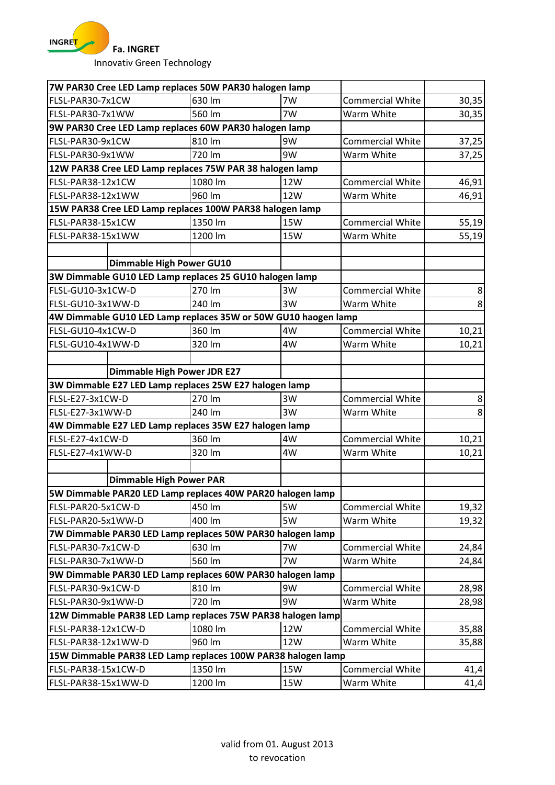

Innovativ Green Technology

|                              |                                    | 7W PAR30 Cree LED Lamp replaces 50W PAR30 halogen lamp         |            |                         |       |
|------------------------------|------------------------------------|----------------------------------------------------------------|------------|-------------------------|-------|
| FLSL-PAR30-7x1CW             |                                    | 630 lm                                                         | 7W         | <b>Commercial White</b> | 30,35 |
| FLSL-PAR30-7x1WW             |                                    | 560 lm                                                         | 7W         | Warm White              | 30,35 |
|                              |                                    | 9W PAR30 Cree LED Lamp replaces 60W PAR30 halogen lamp         |            |                         |       |
| FLSL-PAR30-9x1CW             |                                    | 810 lm                                                         | 9W         | <b>Commercial White</b> | 37,25 |
| FLSL-PAR30-9x1WW             |                                    | 720 lm                                                         | 9W         | Warm White              | 37,25 |
|                              |                                    | 12W PAR38 Cree LED Lamp replaces 75W PAR 38 halogen lamp       |            |                         |       |
| FLSL-PAR38-12x1CW            |                                    | 1080 lm                                                        | 12W        | <b>Commercial White</b> | 46,91 |
| FLSL-PAR38-12x1WW            |                                    | 960 lm                                                         | 12W        | Warm White              | 46,91 |
|                              |                                    | 15W PAR38 Cree LED Lamp replaces 100W PAR38 halogen lamp       |            |                         |       |
| FLSL-PAR38-15x1CW            |                                    | 1350 lm                                                        | <b>15W</b> | <b>Commercial White</b> | 55,19 |
| FLSL-PAR38-15x1WW            |                                    | 1200 lm                                                        | <b>15W</b> | Warm White              | 55,19 |
|                              |                                    |                                                                |            |                         |       |
|                              | <b>Dimmable High Power GU10</b>    |                                                                |            |                         |       |
|                              |                                    | 3W Dimmable GU10 LED Lamp replaces 25 GU10 halogen lamp        |            |                         |       |
| FLSL-GU10-3x1CW-D            |                                    | 270 lm                                                         | 3W         | <b>Commercial White</b> | 8     |
| FLSL-GU10-3x1WW-D            |                                    | 240 lm                                                         | 3W         | Warm White              | 8     |
|                              |                                    | 4W Dimmable GU10 LED Lamp replaces 35W or 50W GU10 haogen lamp |            |                         |       |
| FLSL-GU10-4x1CW-D            |                                    | 360 lm                                                         | 4W         | <b>Commercial White</b> | 10,21 |
| FLSL-GU10-4x1WW-D            |                                    | 320 lm                                                         | 4W         | Warm White              | 10,21 |
|                              |                                    |                                                                |            |                         |       |
|                              | <b>Dimmable High Power JDR E27</b> |                                                                |            |                         |       |
|                              |                                    | 3W Dimmable E27 LED Lamp replaces 25W E27 halogen lamp         |            |                         |       |
| FLSL-E27-3x1CW-D<br>270 lm   |                                    |                                                                | 3W         | <b>Commercial White</b> | 8     |
| FLSL-E27-3x1WW-D             |                                    | 240 lm                                                         | 3W         | Warm White              | 8     |
|                              |                                    | 4W Dimmable E27 LED Lamp replaces 35W E27 halogen lamp         |            |                         |       |
| FLSL-E27-4x1CW-D             |                                    | 360 lm                                                         | 4W         | <b>Commercial White</b> | 10,21 |
| FLSL-E27-4x1WW-D             |                                    | 320 lm                                                         | 4W         | Warm White              | 10,21 |
|                              |                                    |                                                                |            |                         |       |
|                              | <b>Dimmable High Power PAR</b>     |                                                                |            |                         |       |
|                              |                                    | 5W Dimmable PAR20 LED Lamp replaces 40W PAR20 halogen lamp     |            |                         |       |
| FLSL-PAR20-5x1CW-D           |                                    | 450 lm                                                         | 5W         | <b>Commercial White</b> | 19,32 |
| FLSL-PAR20-5x1WW-D           |                                    | 400 lm                                                         | 5W         | Warm White              | 19,32 |
|                              |                                    | 7W Dimmable PAR30 LED Lamp replaces 50W PAR30 halogen lamp     |            |                         |       |
| FLSL-PAR30-7x1CW-D           |                                    | 630 lm                                                         | 7W         | <b>Commercial White</b> | 24,84 |
| FLSL-PAR30-7x1WW-D           |                                    | 560 lm                                                         | 7W         | Warm White              | 24,84 |
|                              |                                    | 9W Dimmable PAR30 LED Lamp replaces 60W PAR30 halogen lamp     |            |                         |       |
| FLSL-PAR30-9x1CW-D           |                                    | 810 lm                                                         | 9W         | <b>Commercial White</b> | 28,98 |
| 720 lm<br>FLSL-PAR30-9x1WW-D |                                    | 9W                                                             | Warm White | 28,98                   |       |
|                              |                                    | 12W Dimmable PAR38 LED Lamp replaces 75W PAR38 halogen lamp    |            |                         |       |
| FLSL-PAR38-12x1CW-D          |                                    | 1080 lm                                                        | 12W        | <b>Commercial White</b> | 35,88 |
| FLSL-PAR38-12x1WW-D          |                                    | 960 lm                                                         | 12W        | Warm White              | 35,88 |
|                              |                                    | 15W Dimmable PAR38 LED Lamp replaces 100W PAR38 halogen lamp   |            |                         |       |
| FLSL-PAR38-15x1CW-D          |                                    | 1350 lm                                                        | 15W        | <b>Commercial White</b> | 41,4  |
| FLSL-PAR38-15x1WW-D          |                                    | 1200 lm                                                        | 15W        | Warm White              | 41,4  |